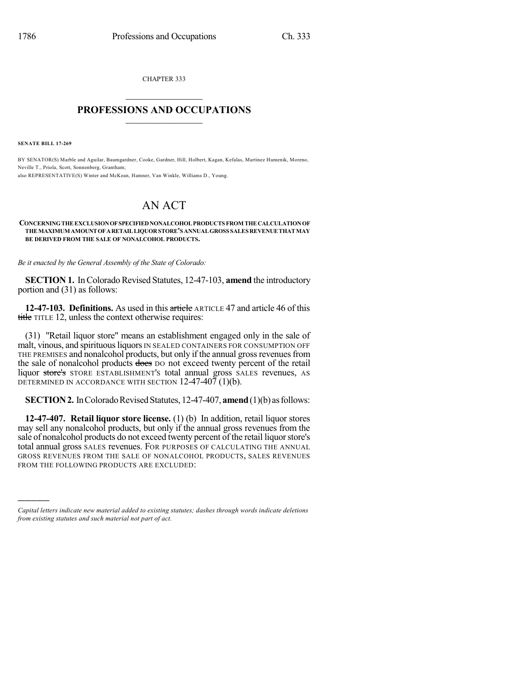CHAPTER 333  $\mathcal{L}_\text{max}$  . The set of the set of the set of the set of the set of the set of the set of the set of the set of the set of the set of the set of the set of the set of the set of the set of the set of the set of the set

## **PROFESSIONS AND OCCUPATIONS**  $\frac{1}{2}$  ,  $\frac{1}{2}$  ,  $\frac{1}{2}$  ,  $\frac{1}{2}$  ,  $\frac{1}{2}$  ,  $\frac{1}{2}$  ,  $\frac{1}{2}$

**SENATE BILL 17-269**

)))))

BY SENATOR(S) Marble and Aguilar, Baumgardner, Cooke, Gardner, Hill, Holbert, Kagan, Kefalas, Martinez Humenik, Moreno, Neville T., Priola, Scott, Sonnenberg, Grantham; also REPRESENTATIVE(S) Winter and McKean, Hamner, Van Winkle, Williams D., Young.

## AN ACT

## **CONCERNINGTHEEXCLUSIONOFSPECIFIEDNONALCOHOLPRODUCTS FROM THECALCULATIONOF THEMAXIMUM AMOUNTOFARETAILLIQUORSTORE'S ANNUALGROSS SALES REVENUETHATMAY BE DERIVED FROM THE SALE OF NONALCOHOL PRODUCTS.**

*Be it enacted by the General Assembly of the State of Colorado:*

**SECTION 1.** In Colorado Revised Statutes, 12-47-103, amend the introductory portion and (31) as follows:

**12-47-103. Definitions.** As used in this article ARTICLE 47 and article 46 of this title TITLE 12, unless the context otherwise requires:

(31) "Retail liquor store" means an establishment engaged only in the sale of malt, vinous, and spirituous liquors IN SEALED CONTAINERS FOR CONSUMPTION OFF THE PREMISES and nonalcohol products, but only if the annual gross revenues from the sale of nonalcohol products does DO not exceed twenty percent of the retail liquor store's STORE ESTABLISHMENT's total annual gross SALES revenues, AS DETERMINED IN ACCORDANCE WITH SECTION  $12-47-407(1)$ (b).

**SECTION 2.** In Colorado Revised Statutes, 12-47-407, **amend** (1)(b) as follows:

**12-47-407. Retail liquor store license.** (1) (b) In addition, retail liquor stores may sell any nonalcohol products, but only if the annual gross revenues from the sale of nonalcohol products do not exceed twenty percent of the retail liquor store's total annual gross SALES revenues. FOR PURPOSES OF CALCULATING THE ANNUAL GROSS REVENUES FROM THE SALE OF NONALCOHOL PRODUCTS, SALES REVENUES FROM THE FOLLOWING PRODUCTS ARE EXCLUDED:

*Capital letters indicate new material added to existing statutes; dashes through words indicate deletions from existing statutes and such material not part of act.*